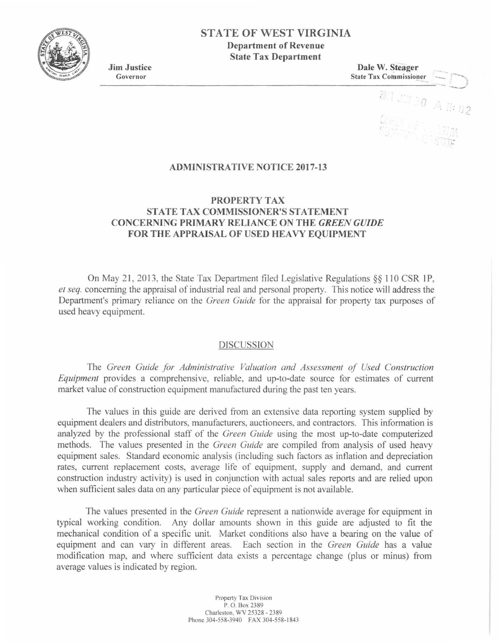

# STATE OF WEST VIRGINIA

Department of Revenue State Tax Department

Jim Justice Governor

Dale W. Steager **State Tax Commissioner** 

 $\lambda$ 

 $0.4 \,$  11: 02

ADMINISTRATIVE NOTICE 2017-13

## PROPERTY TAX STATE TAX COMMISSIONER'S STATEMENT CONCERNING PRIMARY RELIANCE ON THE *GREEN GUIDE*  FOR THE APPRAISAL OF USED HEAVY EQUIPMENT

On May 21, 2013, the State Tax Department filed Legislative Regulations  $\S$  110 CSR 1P, *et seq.* concerning the appraisal of industrial real and personal property. This notice will address the Department's primary reliance on the *Green Guide* for the appraisal for property tax purposes of used heavy equipment.

### DISCUSSION

The *Green Guide for Administrative Valuation and Assessment of Used Construction Equipment* provides a comprehensive, reliable, and up-to-date source for estimates of current market value of construction equipment manufactured during the past ten years.

The values in this guide are derived from an extensive data reporting system supplied by equipment dealers and distributors, manufacturers, auctioneers, and contractors. This information is analyzed by the professional staff of the *Green Guide* using the most up-to-date computerized methods. The values presented in the *Green Guide* are compiled from analysis of used heavy equipment sales. Standard economic analysis (including such factors as inflation and depreciation rates, current replacement costs, average life of equipment, supply and demand, and current construction industry activity) is used in conjunction with actual sales reports and are relied upon when sufficient sales data on any particular piece of equipment is not available.

The values presented in the *Green Guide* represent a nationwide average for equipment in typical working condition. Any dollar amounts shown in this guide are adjusted to fit the mechanical condition of a specific unit. Market conditions also have a bearing on the value of equipment and can vary in different areas. Each section in the *Green Guide* has a value modification map, and where sufficient data exists a percentage change (plus or minus) from average values is indicated by region.